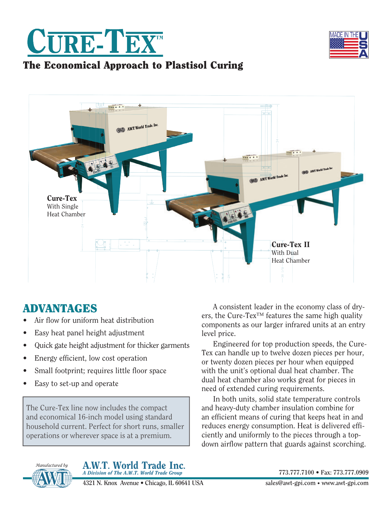



### The Economical Approach to Plastisol Curing



# ADVANTAGES

- Air flow for uniform heat distribution
- Easy heat panel height adjustment
- Quick gate height adjustment for thicker garments
- Energy efficient, low cost operation
- Small footprint; requires little floor space
- Easy to set-up and operate

The Cure-Tex line now includes the compact and economical 16-inch model using standard household current. Perfect for short runs, smaller operations or wherever space is at a premium.

A consistent leader in the economy class of dryers, the Cure-Tex<sup>TM</sup> features the same high quality components as our larger infrared units at an entry level price.

Engineered for top production speeds, the Cure-Tex can handle up to twelve dozen pieces per hour, or twenty dozen pieces per hour when equipped with the unit's optional dual heat chamber. The dual heat chamber also works great for pieces in need of extended curing requirements.

In both units, solid state temperature controls and heavy-duty chamber insulation combine for an efficient means of curing that keeps heat in and reduces energy consumption. Heat is delivered efficiently and uniformly to the pieces through a topdown airflow pattern that guards against scorching.



A.W.T. World Trade Inc. *A Division of The A.W.T. World Trade Group* 

**4321 N. Knox Avenue • Chicago, IL 60641 USA** 

**773.777.7100 • Fax: 773.777.0909**